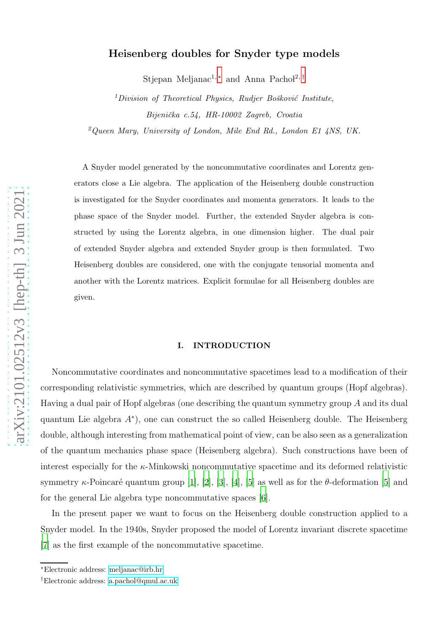## Heisenberg doubles for Snyder type models

Stjepan Meljanac<sup>1,\*</sup> and Anna Pachol<sup>2,[†](#page-0-1)</sup>

 $1$ Division of Theoretical Physics, Rudjer Bošković Institute, Bijenička c.54, HR-10002 Zagreb, Croatia

 $^{2}Q$ ueen Mary, University of London, Mile End Rd., London E1 4NS, UK.

A Snyder model generated by the noncommutative coordinates and Lorentz generators close a Lie algebra. The application of the Heisenberg double construction is investigated for the Snyder coordinates and momenta generators. It leads to the phase space of the Snyder model. Further, the extended Snyder algebra is constructed by using the Lorentz algebra, in one dimension higher. The dual pair of extended Snyder algebra and extended Snyder group is then formulated. Two Heisenberg doubles are considered, one with the conjugate tensorial momenta and another with the Lorentz matrices. Explicit formulae for all Heisenberg doubles are given.

## I. INTRODUCTION

Noncommutative coordinates and noncommutative spacetimes lead to a modification of their corresponding relativistic symmetries, which are described by quantum groups (Hopf algebras). Having a dual pair of Hopf algebras (one describing the quantum symmetry group A and its dual quantum Lie algebra A ∗ ), one can construct the so called Heisenberg double. The Heisenberg double, although interesting from mathematical point of view, can be also seen as a generalization of the quantum mechanics phase space (Heisenberg algebra). Such constructions have been of interest especially for the  $\kappa$ -Minkowski noncommutative spacetime and its deformed relativistic symmetry  $\kappa$ -Poincaré quantum group [\[1](#page-16-0)], [\[2](#page-16-1)], [\[3\]](#page-16-2), [\[4\]](#page-16-3), [\[5](#page-16-4)] as well as for the  $\theta$ -deformation [\[5\]](#page-16-4) and for the general Lie algebra type noncommutative spaces [\[6\]](#page-16-5).

In the present paper we want to focus on the Heisenberg double construction applied to a Snyder model. In the 1940s, Snyder proposed the model of Lorentz invariant discrete spacetime [\[7](#page-16-6)] as the first example of the noncommutative spacetime.

<span id="page-0-1"></span><span id="page-0-0"></span><sup>∗</sup>Electronic address: [meljanac@irb.hr](mailto:meljanac@irb.hr)

<sup>†</sup>Electronic address: [a.pachol@qmul.ac.uk](mailto:a.pachol@qmul.ac.uk)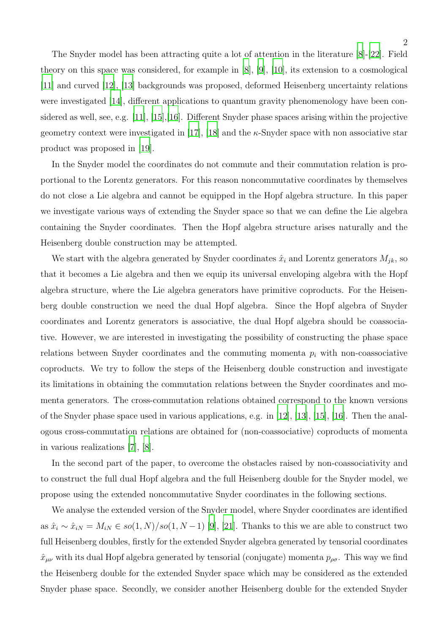The Snyder model has been attracting quite a lot of attention in the literature [\[8\]](#page-16-7)-[\[22\]](#page-17-0). Field theory on this space was considered, for example in [\[8](#page-16-7)], [\[9\]](#page-16-8), [\[10](#page-16-9)], its extension to a cosmological [\[11\]](#page-16-10) and curved [\[12\]](#page-16-11), [\[13](#page-16-12)] backgrounds was proposed, deformed Heisenberg uncertainty relations were investigated [\[14\]](#page-16-13), different applications to quantum gravity phenomenology have been considered as well, see, e.g. [\[11\]](#page-16-10), [\[15](#page-17-1)],[\[16\]](#page-17-2). Different Snyder phase spaces arising within the projective geometry context were investigated in [\[17\]](#page-17-3), [\[18](#page-17-4)] and the  $\kappa$ -Snyder space with non associative star product was proposed in [\[19\]](#page-17-5).

In the Snyder model the coordinates do not commute and their commutation relation is proportional to the Lorentz generators. For this reason noncommutative coordinates by themselves do not close a Lie algebra and cannot be equipped in the Hopf algebra structure. In this paper we investigate various ways of extending the Snyder space so that we can define the Lie algebra containing the Snyder coordinates. Then the Hopf algebra structure arises naturally and the Heisenberg double construction may be attempted.

We start with the algebra generated by Snyder coordinates  $\hat{x}_i$  and Lorentz generators  $M_{jk}$ , so that it becomes a Lie algebra and then we equip its universal enveloping algebra with the Hopf algebra structure, where the Lie algebra generators have primitive coproducts. For the Heisenberg double construction we need the dual Hopf algebra. Since the Hopf algebra of Snyder coordinates and Lorentz generators is associative, the dual Hopf algebra should be coassociative. However, we are interested in investigating the possibility of constructing the phase space relations between Snyder coordinates and the commuting momenta  $p_i$  with non-coassociative coproducts. We try to follow the steps of the Heisenberg double construction and investigate its limitations in obtaining the commutation relations between the Snyder coordinates and momenta generators. The cross-commutation relations obtained correspond to the known versions of the Snyder phase space used in various applications, e.g. in [\[12\]](#page-16-11), [\[13](#page-16-12)], [\[15\]](#page-17-1), [\[16\]](#page-17-2). Then the analogous cross-commutation relations are obtained for (non-coassociative) coproducts of momenta in various realizations [\[7\]](#page-16-6), [\[8\]](#page-16-7).

In the second part of the paper, to overcome the obstacles raised by non-coassociativity and to construct the full dual Hopf algebra and the full Heisenberg double for the Snyder model, we propose using the extended noncommutative Snyder coordinates in the following sections.

We analyse the extended version of the Snyder model, where Snyder coordinates are identified as  $\hat{x}_i \sim \hat{x}_{iN} = M_{iN} \in so(1, N)/so(1, N-1)$  [\[9\]](#page-16-8), [\[21](#page-17-6)]. Thanks to this we are able to construct two full Heisenberg doubles, firstly for the extended Snyder algebra generated by tensorial coordinates  $\hat{x}_{\mu\nu}$  with its dual Hopf algebra generated by tensorial (conjugate) momenta  $p_{\rho\sigma}$ . This way we find the Heisenberg double for the extended Snyder space which may be considered as the extended Snyder phase space. Secondly, we consider another Heisenberg double for the extended Snyder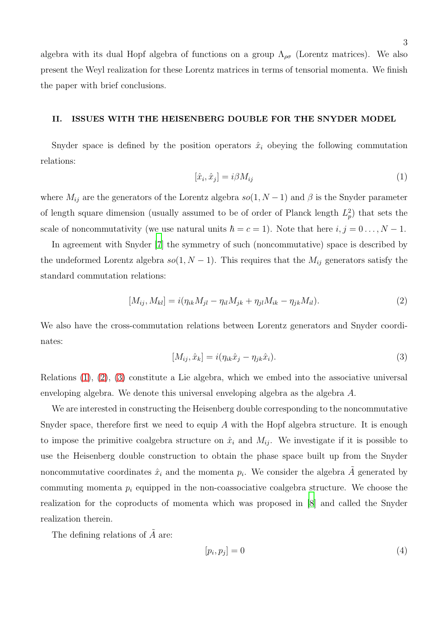algebra with its dual Hopf algebra of functions on a group  $\Lambda_{\rho\sigma}$  (Lorentz matrices). We also present the Weyl realization for these Lorentz matrices in terms of tensorial momenta. We finish the paper with brief conclusions.

## <span id="page-2-3"></span>II. ISSUES WITH THE HEISENBERG DOUBLE FOR THE SNYDER MODEL

Snyder space is defined by the position operators  $\hat{x}_i$  obeying the following commutation relations:

<span id="page-2-0"></span>
$$
[\hat{x}_i, \hat{x}_j] = i\beta M_{ij} \tag{1}
$$

where  $M_{ij}$  are the generators of the Lorentz algebra  $so(1, N-1)$  and  $\beta$  is the Snyder parameter of length square dimension (usually assumed to be of order of Planck length  $L_p^2$ ) that sets the scale of noncommutativity (we use natural units  $\hbar = c = 1$ ). Note that here  $i, j = 0 \ldots, N - 1$ .

In agreement with Snyder [\[7\]](#page-16-6) the symmetry of such (noncommutative) space is described by the undeformed Lorentz algebra  $so(1, N - 1)$ . This requires that the  $M_{ij}$  generators satisfy the standard commutation relations:

<span id="page-2-1"></span>
$$
[M_{ij}, M_{kl}] = i(\eta_{ik}M_{jl} - \eta_{il}M_{jk} + \eta_{jl}M_{ik} - \eta_{jk}M_{il}).
$$
\n(2)

We also have the cross-commutation relations between Lorentz generators and Snyder coordinates:

<span id="page-2-2"></span>
$$
[M_{ij}, \hat{x}_k] = i(\eta_{ik}\hat{x}_j - \eta_{jk}\hat{x}_i). \tag{3}
$$

Relations  $(1), (2), (3)$  $(1), (2), (3)$  $(1), (2), (3)$  $(1), (2), (3)$  constitute a Lie algebra, which we embed into the associative universal enveloping algebra. We denote this universal enveloping algebra as the algebra A.

We are interested in constructing the Heisenberg double corresponding to the noncommutative Snyder space, therefore first we need to equip  $A$  with the Hopf algebra structure. It is enough to impose the primitive coalgebra structure on  $\hat{x}_i$  and  $M_{ij}$ . We investigate if it is possible to use the Heisenberg double construction to obtain the phase space built up from the Snyder noncommutative coordinates  $\hat{x}_i$  and the momenta  $p_i$ . We consider the algebra  $\tilde{A}$  generated by commuting momenta  $p_i$  equipped in the non-coassociative coalgebra structure. We choose the realization for the coproducts of momenta which was proposed in [\[8\]](#page-16-7) and called the Snyder realization therein.

The defining relations of  $\tilde{A}$  are:

$$
[p_i, p_j] = 0 \tag{4}
$$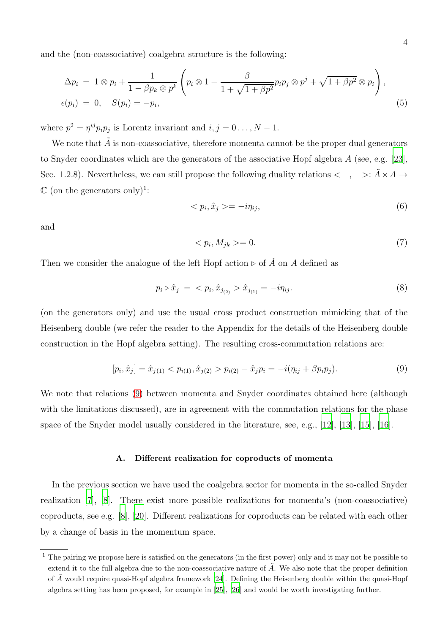and the (non-coassociative) coalgebra structure is the following:

<span id="page-3-4"></span>
$$
\Delta p_i = 1 \otimes p_i + \frac{1}{1 - \beta p_k \otimes p^k} \left( p_i \otimes 1 - \frac{\beta}{1 + \sqrt{1 + \beta p^2}} p_i p_j \otimes p^j + \sqrt{1 + \beta p^2} \otimes p_i \right),
$$
  

$$
\epsilon(p_i) = 0, \quad S(p_i) = -p_i,
$$
 (5)

where  $p^2 = \eta^{ij} p_i p_j$  is Lorentz invariant and  $i, j = 0 \dots, N - 1$ .

We note that  $\tilde{A}$  is non-coassociative, therefore momenta cannot be the proper dual generators to Snyder coordinates which are the generators of the associative Hopf algebra A (see, e.g. [\[23\]](#page-17-7), Sec. 1.2.8). Nevertheless, we can still propose the following duality relations  $\langle , \rangle$   $\Rightarrow$ :  $\tilde{A} \times A \rightarrow$  $\mathbb C$  (on the generators only)<sup>1</sup>:

<span id="page-3-1"></span>
$$
\langle p_i, \hat{x}_j \rangle = -i\eta_{ij},\tag{6}
$$

and

<span id="page-3-2"></span>
$$
\langle p_i, M_{jk} \rangle = 0. \tag{7}
$$

Then we consider the analogue of the left Hopf action ⊳ of  $\tilde{A}$  on A defined as

<span id="page-3-3"></span>
$$
p_i \triangleright \hat{x}_j \ = \ \langle \ p_i, \hat{x}_{j_{(2)}} \rangle \hat{x}_{j_{(1)}} = -i\eta_{ij}.\tag{8}
$$

(on the generators only) and use the usual cross product construction mimicking that of the Heisenberg double (we refer the reader to the Appendix for the details of the Heisenberg double construction in the Hopf algebra setting). The resulting cross-commutation relations are:

<span id="page-3-0"></span>
$$
[p_i, \hat{x}_j] = \hat{x}_{j(1)} < p_{i(1)}, \hat{x}_{j(2)} > p_{i(2)} - \hat{x}_j p_i = -i(\eta_{ij} + \beta p_i p_j). \tag{9}
$$

We note that relations [\(9\)](#page-3-0) between momenta and Snyder coordinates obtained here (although with the limitations discussed), are in agreement with the commutation relations for the phase space of the Snyder model usually considered in the literature, see, e.g.,  $[12]$ ,  $[13]$ ,  $[15]$ ,  $[16]$ .

#### A. Different realization for coproducts of momenta

In the previous section we have used the coalgebra sector for momenta in the so-called Snyder realization [\[7\]](#page-16-6), [\[8](#page-16-7)]. There exist more possible realizations for momenta's (non-coassociative) coproducts, see e.g. [\[8](#page-16-7)], [\[20](#page-17-8)]. Different realizations for coproducts can be related with each other by a change of basis in the momentum space.

 $1$  The pairing we propose here is satisfied on the generators (in the first power) only and it may not be possible to extend it to the full algebra due to the non-coassociative nature of  $\tilde{A}$ . We also note that the proper definition of  $\tilde{A}$  would require quasi-Hopf algebra framework [\[24](#page-17-9)]. Defining the Heisenberg double within the quasi-Hopf algebra setting has been proposed, for example in [\[25\]](#page-17-10), [\[26](#page-17-11)] and would be worth investigating further.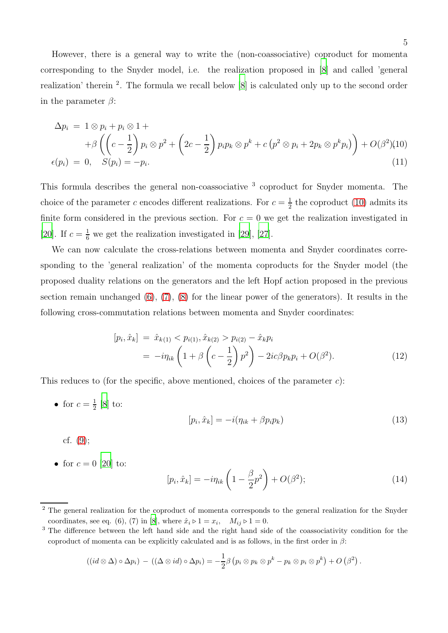However, there is a general way to write the (non-coassociative) coproduct for momenta corresponding to the Snyder model, i.e. the realization proposed in [\[8](#page-16-7)] and called 'general realization' therein <sup>2</sup>. The formula we recall below [\[8](#page-16-7)] is calculated only up to the second order in the parameter  $\beta$ :

<span id="page-4-0"></span>
$$
\Delta p_i = 1 \otimes p_i + p_i \otimes 1 +
$$
  
+ 
$$
\beta \left( \left( c - \frac{1}{2} \right) p_i \otimes p^2 + \left( 2c - \frac{1}{2} \right) p_i p_k \otimes p^k + c \left( p^2 \otimes p_i + 2p_k \otimes p^k p_i \right) \right) + O(\beta^2)(10)
$$
  

$$
\epsilon(p_i) = 0, \quad S(p_i) = -p_i.
$$
 (11)

This formula describes the general non-coassociative <sup>3</sup> coproduct for Snyder momenta. The choice of the parameter c encodes different realizations. For  $c = \frac{1}{2}$  $\frac{1}{2}$  the coproduct [\(10\)](#page-4-0) admits its finite form considered in the previous section. For  $c = 0$  we get the realization investigated in [\[20\]](#page-17-8). If  $c = \frac{1}{6}$  we get the realization investigated in [\[29](#page-18-0)], [\[27\]](#page-17-12).

We can now calculate the cross-relations between momenta and Snyder coordinates corresponding to the 'general realization' of the momenta coproducts for the Snyder model (the proposed duality relations on the generators and the left Hopf action proposed in the previous section remain unchanged  $(6)$ ,  $(7)$ ,  $(8)$  for the linear power of the generators). It results in the following cross-commutation relations between momenta and Snyder coordinates:

$$
[p_i, \hat{x}_k] = \hat{x}_{k(1)} < p_{i(1)}, \hat{x}_{k(2)} > p_{i(2)} - \hat{x}_k p_i
$$
\n
$$
= -i\eta_{ik} \left( 1 + \beta \left( c - \frac{1}{2} \right) p^2 \right) - 2ic\beta p_k p_i + O(\beta^2). \tag{12}
$$

This reduces to (for the specific, above mentioned, choices of the parameter  $c$ ):

• for  $c=\frac{1}{2}$  $rac{1}{2}$  [\[8](#page-16-7)] to:

$$
[p_i, \hat{x}_k] = -i(\eta_{ik} + \beta p_i p_k) \tag{13}
$$

- cf. [\(9\)](#page-3-0);
- for  $c = 0$  [\[20](#page-17-8)] to:

$$
[p_i, \hat{x}_k] = -i\eta_{ik} \left( 1 - \frac{\beta}{2} p^2 \right) + O(\beta^2); \tag{14}
$$

$$
((id \otimes \Delta) \circ \Delta p_i) - ((\Delta \otimes id) \circ \Delta p_i) = -\frac{1}{2}\beta (p_i \otimes p_k \otimes p^k - p_k \otimes p_i \otimes p^k) + O(\beta^2).
$$

<sup>&</sup>lt;sup>2</sup> The general realization for the coproduct of momenta corresponds to the general realization for the Snyder coordinates, see eq. (6), (7) in [\[8\]](#page-16-7), where  $\hat{x}_i \triangleright 1 = x_i$ ,  $M_{ij} \triangleright 1 = 0$ .

<sup>&</sup>lt;sup>3</sup> The difference between the left hand side and the right hand side of the coassociativity condition for the coproduct of momenta can be explicitly calculated and is as follows, in the first order in  $\beta$ :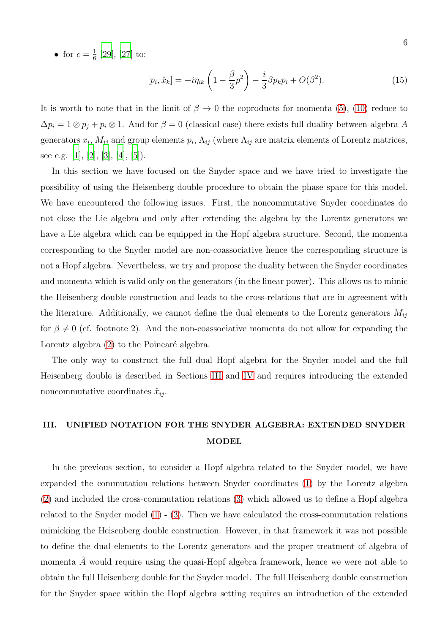• for  $c = \frac{1}{6}$  $\frac{1}{6}$  [\[29\]](#page-18-0), [\[27](#page-17-12)] to:

<span id="page-5-1"></span>
$$
[p_i, \hat{x}_k] = -i\eta_{ik} \left( 1 - \frac{\beta}{3} p^2 \right) - \frac{i}{3} \beta p_k p_i + O(\beta^2).
$$
 (15)

It is worth to note that in the limit of  $\beta \to 0$  the coproducts for momenta [\(5\)](#page-3-4), [\(10\)](#page-4-0) reduce to  $\Delta p_i = 1 \otimes p_j + p_i \otimes 1$ . And for  $\beta = 0$  (classical case) there exists full duality between algebra A generators  $x_i$ ,  $M_{ij}$  and group elements  $p_i$ ,  $\Lambda_{ij}$  (where  $\Lambda_{ij}$  are matrix elements of Lorentz matrices, see e.g. [\[1\]](#page-16-0), [\[2](#page-16-1)], [\[3\]](#page-16-2), [\[4](#page-16-3)], [\[5\]](#page-16-4)).

In this section we have focused on the Snyder space and we have tried to investigate the possibility of using the Heisenberg double procedure to obtain the phase space for this model. We have encountered the following issues. First, the noncommutative Snyder coordinates do not close the Lie algebra and only after extending the algebra by the Lorentz generators we have a Lie algebra which can be equipped in the Hopf algebra structure. Second, the momenta corresponding to the Snyder model are non-coassociative hence the corresponding structure is not a Hopf algebra. Nevertheless, we try and propose the duality between the Snyder coordinates and momenta which is valid only on the generators (in the linear power). This allows us to mimic the Heisenberg double construction and leads to the cross-relations that are in agreement with the literature. Additionally, we cannot define the dual elements to the Lorentz generators  $M_{ij}$ for  $\beta \neq 0$  (cf. footnote 2). And the non-coassociative momenta do not allow for expanding the Lorentz algebra  $(2)$  to the Poincaré algebra.

The only way to construct the full dual Hopf algebra for the Snyder model and the full Heisenberg double is described in Sections [III](#page-5-0) and [IV](#page-9-0) and requires introducing the extended noncommutative coordinates  $\hat{x}_{ij}$ .

# <span id="page-5-0"></span>III. UNIFIED NOTATION FOR THE SNYDER ALGEBRA: EXTENDED SNYDER MODEL

In the previous section, to consider a Hopf algebra related to the Snyder model, we have expanded the commutation relations between Snyder coordinates [\(1\)](#page-2-0) by the Lorentz algebra [\(2\)](#page-2-1) and included the cross-commutation relations [\(3\)](#page-2-2) which allowed us to define a Hopf algebra related to the Snyder model  $(1)$  -  $(3)$ . Then we have calculated the cross-commutation relations mimicking the Heisenberg double construction. However, in that framework it was not possible to define the dual elements to the Lorentz generators and the proper treatment of algebra of momenta  $\tilde{A}$  would require using the quasi-Hopf algebra framework, hence we were not able to obtain the full Heisenberg double for the Snyder model. The full Heisenberg double construction for the Snyder space within the Hopf algebra setting requires an introduction of the extended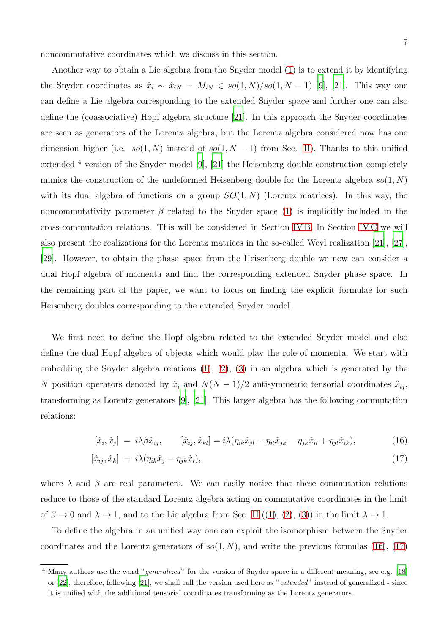noncommutative coordinates which we discuss in this section.

Another way to obtain a Lie algebra from the Snyder model [\(1\)](#page-2-0) is to extend it by identifying the Snyder coordinates as  $\hat{x}_i \sim \hat{x}_{iN} = M_{iN} \in so(1, N)/so(1, N-1)$  [\[9\]](#page-16-8), [\[21\]](#page-17-6). This way one can define a Lie algebra corresponding to the extended Snyder space and further one can also define the (coassociative) Hopf algebra structure [\[21\]](#page-17-6). In this approach the Snyder coordinates are seen as generators of the Lorentz algebra, but the Lorentz algebra considered now has one dimension higher (i.e.  $so(1, N)$  instead of  $so(1, N - 1)$  from Sec. [II\)](#page-2-3). Thanks to this unified extended <sup>4</sup> version of the Snyder model [\[9\]](#page-16-8), [\[21](#page-17-6)] the Heisenberg double construction completely mimics the construction of the undeformed Heisenberg double for the Lorentz algebra  $so(1, N)$ with its dual algebra of functions on a group  $SO(1, N)$  (Lorentz matrices). In this way, the noncommutativity parameter  $\beta$  related to the Snyder space [\(1\)](#page-2-0) is implicitly included in the cross-commutation relations. This will be considered in Section [IV B.](#page-11-0) In Section [IV C](#page-13-0) we will also present the realizations for the Lorentz matrices in the so-called Weyl realization [\[21\]](#page-17-6), [\[27\]](#page-17-12), [\[29\]](#page-18-0). However, to obtain the phase space from the Heisenberg double we now can consider a dual Hopf algebra of momenta and find the corresponding extended Snyder phase space. In the remaining part of the paper, we want to focus on finding the explicit formulae for such Heisenberg doubles corresponding to the extended Snyder model.

We first need to define the Hopf algebra related to the extended Snyder model and also define the dual Hopf algebra of objects which would play the role of momenta. We start with embedding the Snyder algebra relations  $(1)$ ,  $(2)$ ,  $(3)$  in an algebra which is generated by the N position operators denoted by  $\hat{x}_i$  and  $N(N-1)/2$  antisymmetric tensorial coordinates  $\hat{x}_{ij}$ , transforming as Lorentz generators [\[9\]](#page-16-8), [\[21](#page-17-6)]. This larger algebra has the following commutation relations:

<span id="page-6-0"></span>
$$
[\hat{x}_i, \hat{x}_j] = i\lambda\beta\hat{x}_{ij}, \qquad [\hat{x}_{ij}, \hat{x}_{kl}] = i\lambda(\eta_{ik}\hat{x}_{jl} - \eta_{il}\hat{x}_{jk} - \eta_{jk}\hat{x}_{il} + \eta_{jl}\hat{x}_{ik}), \qquad (16)
$$

$$
[\hat{x}_{ij}, \hat{x}_k] = i\lambda(\eta_{ik}\hat{x}_j - \eta_{jk}\hat{x}_i), \qquad (17)
$$

where  $\lambda$  and  $\beta$  are real parameters. We can easily notice that these commutation relations reduce to those of the standard Lorentz algebra acting on commutative coordinates in the limit of  $\beta \to 0$  and  $\lambda \to 1$ , and to the Lie algebra from Sec. [II](#page-2-3)  $((1), (2), (3))$  $((1), (2), (3))$  $((1), (2), (3))$  $((1), (2), (3))$  $((1), (2), (3))$  $((1), (2), (3))$  $((1), (2), (3))$  in the limit  $\lambda \to 1$ .

To define the algebra in an unified way one can exploit the isomorphism between the Snyder coordinates and the Lorentz generators of  $so(1, N)$ , and write the previous formulas [\(16\)](#page-6-0), [\(17\)](#page-6-0)

<sup>&</sup>lt;sup>4</sup> Many authors use the word "generalized" for the version of Snyder space in a different meaning, see e.g. [\[18\]](#page-17-4) or [\[22\]](#page-17-0), therefore, following [\[21](#page-17-6)], we shall call the version used here as "extended" instead of generalized - since it is unified with the additional tensorial coordinates transforming as the Lorentz generators.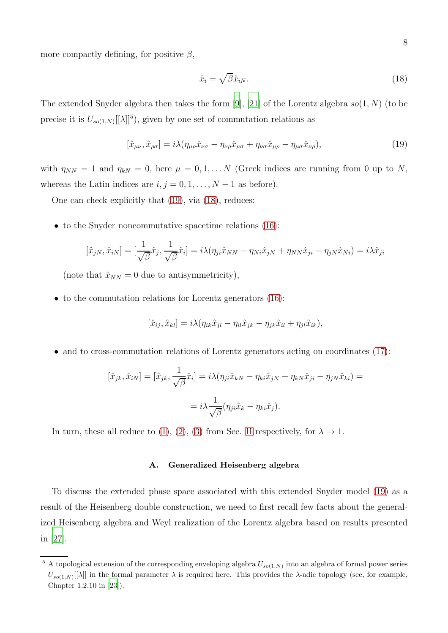more compactly defining, for positive  $\beta$ ,

<span id="page-7-1"></span>
$$
\hat{x}_i = \sqrt{\beta} \hat{x}_{iN}.\tag{18}
$$

The extended Snyder algebra then takes the form [\[9](#page-16-8)], [\[21](#page-17-6)] of the Lorentz algebra  $so(1, N)$  (to be precise it is  $U_{so(1,N)}[[\lambda]]^5$ , given by one set of commutation relations as

<span id="page-7-0"></span>
$$
[\hat{x}_{\mu\nu}, \hat{x}_{\rho\sigma}] = i\lambda (\eta_{\mu\rho}\hat{x}_{\nu\sigma} - \eta_{\nu\rho}\hat{x}_{\mu\sigma} + \eta_{\nu\sigma}\hat{x}_{\mu\rho} - \eta_{\mu\sigma}\hat{x}_{\nu\rho}),
$$
(19)

with  $\eta_{NN} = 1$  and  $\eta_{kN} = 0$ , here  $\mu = 0, 1, \ldots N$  (Greek indices are running from 0 up to N, whereas the Latin indices are  $i, j = 0, 1, \ldots, N - 1$  as before).

One can check explicitly that [\(19\)](#page-7-0), via [\(18\)](#page-7-1), reduces:

• to the Snyder noncommutative spacetime relations [\(16\)](#page-6-0):

$$
[\hat{x}_{jN}, \hat{x}_{iN}] = [\frac{1}{\sqrt{\beta}} \hat{x}_j, \frac{1}{\sqrt{\beta}} \hat{x}_i] = i\lambda (\eta_{ji}\hat{x}_{NN} - \eta_{Ni}\hat{x}_{jN} + \eta_{NN}\hat{x}_{ji} - \eta_{jN}\hat{x}_{Ni}) = i\lambda \hat{x}_{ji}
$$

(note that  $\hat{x}_{NN} = 0$  due to antisymmetricity),

• to the commutation relations for Lorentz generators [\(16\)](#page-6-0):

$$
[\hat{x}_{ij}, \hat{x}_{kl}] = i\lambda(\eta_{ik}\hat{x}_{jl} - \eta_{il}\hat{x}_{jk} - \eta_{jk}\hat{x}_{il} + \eta_{jl}\hat{x}_{ik}),
$$

• and to cross-commutation relations of Lorentz generators acting on coordinates [\(17\)](#page-6-0):

$$
[\hat{x}_{jk}, \hat{x}_{iN}] = [\hat{x}_{jk}, \frac{1}{\sqrt{\beta}} \hat{x}_i] = i\lambda (\eta_{ji}\hat{x}_{kN} - \eta_{ki}\hat{x}_{jN} + \eta_{kN}\hat{x}_{ji} - \eta_{jN}\hat{x}_{ki}) =
$$

$$
= i\lambda \frac{1}{\sqrt{\beta}} (\eta_{ji}\hat{x}_k - \eta_{ki}\hat{x}_j).
$$

In turn, these all reduce to [\(1\)](#page-2-0), [\(2\)](#page-2-1), [\(3\)](#page-2-2) from Sec. [II](#page-2-3) respectively, for  $\lambda \to 1$ .

## <span id="page-7-2"></span>A. Generalized Heisenberg algebra

To discuss the extended phase space associated with this extended Snyder model [\(19\)](#page-7-0) as a result of the Heisenberg double construction, we need to first recall few facts about the generalized Heisenberg algebra and Weyl realization of the Lorentz algebra based on results presented in [\[27\]](#page-17-12).

<sup>&</sup>lt;sup>5</sup> A topological extension of the corresponding enveloping algebra  $U_{so(1,N)}$  into an algebra of formal power series  $U_{so(1,N)}[[\lambda]]$  in the formal parameter  $\lambda$  is required here. This provides the  $\lambda$ -adic topology (see, for example, Chapter 1.2.10 in [\[23\]](#page-17-7)).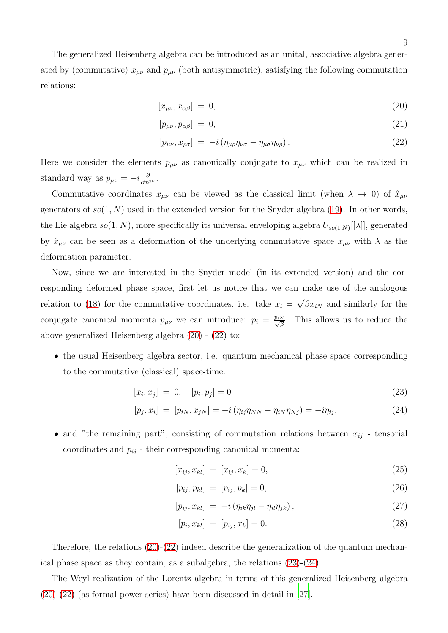The generalized Heisenberg algebra can be introduced as an unital, associative algebra generated by (commutative)  $x_{\mu\nu}$  and  $p_{\mu\nu}$  (both antisymmetric), satisfying the following commutation relations:

<span id="page-8-0"></span>
$$
[x_{\mu\nu}, x_{\alpha\beta}] = 0,\tag{20}
$$

$$
[p_{\mu\nu}, p_{\alpha\beta}] = 0,\tag{21}
$$

$$
[p_{\mu\nu}, x_{\rho\sigma}] = -i (\eta_{\mu\rho}\eta_{\nu\sigma} - \eta_{\mu\sigma}\eta_{\nu\rho}). \tag{22}
$$

Here we consider the elements  $p_{\mu\nu}$  as canonically conjugate to  $x_{\mu\nu}$  which can be realized in standard way as  $p_{\mu\nu} = -i \frac{\partial}{\partial x^{\mu\nu}}$ .

Commutative coordinates  $x_{\mu\nu}$  can be viewed as the classical limit (when  $\lambda \to 0$ ) of  $\hat{x}_{\mu\nu}$ generators of  $so(1, N)$  used in the extended version for the Snyder algebra [\(19\)](#page-7-0). In other words, the Lie algebra  $so(1, N)$ , more specifically its universal enveloping algebra  $U_{so(1,N)}[[\lambda]]$ , generated by  $\hat{x}_{\mu\nu}$  can be seen as a deformation of the underlying commutative space  $x_{\mu\nu}$  with  $\lambda$  as the deformation parameter.

Now, since we are interested in the Snyder model (in its extended version) and the corresponding deformed phase space, first let us notice that we can make use of the analogous relation to [\(18\)](#page-7-1) for the commutative coordinates, i.e. take  $x_i = \sqrt{\beta} x_{iN}$  and similarly for the conjugate canonical momenta  $p_{\mu\nu}$  we can introduce:  $p_i = \frac{p_{iN}}{\sqrt{\beta}}$ . This allows us to reduce the above generalized Heisenberg algebra [\(20\)](#page-8-0) - [\(22\)](#page-8-0) to:

• the usual Heisenberg algebra sector, i.e. quantum mechanical phase space corresponding to the commutative (classical) space-time:

<span id="page-8-1"></span>
$$
[x_i, x_j] = 0, \quad [p_i, p_j] = 0 \tag{23}
$$

$$
[p_j, x_i] = [p_{iN}, x_{jN}] = -i(\eta_{ij}\eta_{NN} - \eta_{iN}\eta_{Nj}) = -i\eta_{ij},
$$
\n(24)

• and "the remaining part", consisting of commutation relations between  $x_{ij}$  - tensorial coordinates and  $p_{ij}$  - their corresponding canonical momenta:

$$
[x_{ij}, x_{kl}] = [x_{ij}, x_k] = 0,\t\t(25)
$$

$$
[p_{ij}, p_{kl}] = [p_{ij}, p_k] = 0,
$$
\n(26)

$$
[p_{ij}, x_{kl}] = -i \left( \eta_{ik} \eta_{jl} - \eta_{il} \eta_{jk} \right), \qquad (27)
$$

$$
[p_i, x_{kl}] = [p_{ij}, x_k] = 0.
$$
\n(28)

Therefore, the relations [\(20\)](#page-8-0)-[\(22\)](#page-8-0) indeed describe the generalization of the quantum mechanical phase space as they contain, as a subalgebra, the relations [\(23\)](#page-8-1)-[\(24\)](#page-8-1).

The Weyl realization of the Lorentz algebra in terms of this generalized Heisenberg algebra [\(20\)](#page-8-0)-[\(22\)](#page-8-0) (as formal power series) have been discussed in detail in [\[27](#page-17-12)].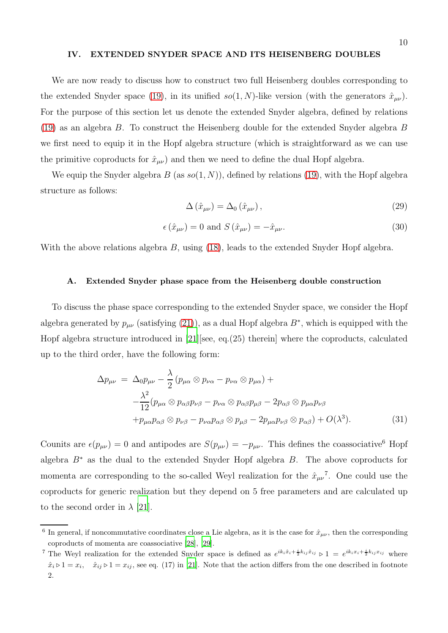#### <span id="page-9-0"></span>IV. EXTENDED SNYDER SPACE AND ITS HEISENBERG DOUBLES

We are now ready to discuss how to construct two full Heisenberg doubles corresponding to the extended Snyder space [\(19\)](#page-7-0), in its unified  $so(1, N)$ -like version (with the generators  $\hat{x}_{\mu\nu}$ ). For the purpose of this section let us denote the extended Snyder algebra, defined by relations [\(19\)](#page-7-0) as an algebra B. To construct the Heisenberg double for the extended Snyder algebra B we first need to equip it in the Hopf algebra structure (which is straightforward as we can use the primitive coproducts for  $\hat{x}_{\mu\nu}$  and then we need to define the dual Hopf algebra.

We equip the Snyder algebra  $B$  (as  $so(1, N)$ ), defined by relations [\(19\)](#page-7-0), with the Hopf algebra structure as follows:

<span id="page-9-2"></span>
$$
\Delta\left(\hat{x}_{\mu\nu}\right) = \Delta_0\left(\hat{x}_{\mu\nu}\right),\tag{29}
$$

<span id="page-9-3"></span>
$$
\epsilon(\hat{x}_{\mu\nu}) = 0 \text{ and } S(\hat{x}_{\mu\nu}) = -\hat{x}_{\mu\nu}.
$$
\n(30)

With the above relations algebra B, using [\(18\)](#page-7-1), leads to the extended Snyder Hopf algebra.

#### <span id="page-9-1"></span>A. Extended Snyder phase space from the Heisenberg double construction

To discuss the phase space corresponding to the extended Snyder space, we consider the Hopf algebra generated by  $p_{\mu\nu}$  (satisfying [\(21\)](#page-8-0)), as a dual Hopf algebra  $B^*$ , which is equipped with the Hopf algebra structure introduced in [\[21](#page-17-6)][see, eq.(25) therein] where the coproducts, calculated up to the third order, have the following form:

$$
\Delta p_{\mu\nu} = \Delta_0 p_{\mu\nu} - \frac{\lambda}{2} (p_{\mu\alpha} \otimes p_{\nu\alpha} - p_{\nu\alpha} \otimes p_{\mu\alpha}) + \n- \frac{\lambda^2}{12} (p_{\mu\alpha} \otimes p_{\alpha\beta} p_{\nu\beta} - p_{\nu\alpha} \otimes p_{\alpha\beta} p_{\mu\beta} - 2p_{\alpha\beta} \otimes p_{\mu\alpha} p_{\nu\beta} \n+ p_{\mu\alpha} p_{\alpha\beta} \otimes p_{\nu\beta} - p_{\nu\alpha} p_{\alpha\beta} \otimes p_{\mu\beta} - 2p_{\mu\alpha} p_{\nu\beta} \otimes p_{\alpha\beta}) + O(\lambda^3).
$$
\n(31)

Counits are  $\epsilon(p_{\mu\nu}) = 0$  and antipodes are  $S(p_{\mu\nu}) = -p_{\mu\nu}$ . This defines the coassociative<sup>6</sup> Hopf algebra  $B^*$  as the dual to the extended Snyder Hopf algebra  $B$ . The above coproducts for momenta are corresponding to the so-called Weyl realization for the  $\hat{x}_{\mu\nu}^{\dagger}$ . One could use the coproducts for generic realization but they depend on 5 free parameters and are calculated up to the second order in  $\lambda$  [\[21](#page-17-6)].

<sup>&</sup>lt;sup>6</sup> In general, if noncommutative coordinates close a Lie algebra, as it is the case for  $\hat{x}_{\mu\nu}$ , then the corresponding coproducts of momenta are coassociative [\[28\]](#page-17-13), [\[29](#page-18-0)].

<sup>&</sup>lt;sup>7</sup> The Weyl realization for the extended Snyder space is defined as  $e^{ik_i\hat{x}_i + \frac{i}{2}k_{ij}\hat{x}_{ij}} \triangleright 1 = e^{ik_ix_i + \frac{i}{2}k_{ij}x_{ij}}$  where  $\hat{x}_i > 1 = x_i$ ,  $\hat{x}_{ij} > 1 = x_{ij}$ , see eq. (17) in [\[21\]](#page-17-6). Note that the action differs from the one described in footnote 2.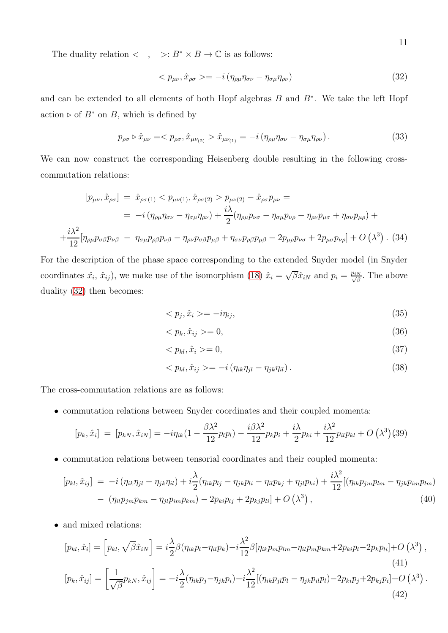The duality relation  $\langle , \rangle : B^* \times B \to \mathbb{C}$  is as follows:

<span id="page-10-0"></span>
$$
\langle p_{\mu\nu}, \hat{x}_{\rho\sigma} \rangle = -i \left( \eta_{\rho\mu} \eta_{\sigma\nu} - \eta_{\sigma\mu} \eta_{\rho\nu} \right) \tag{32}
$$

and can be extended to all elements of both Hopf algebras B and B<sup>∗</sup> . We take the left Hopf action ⊳ of  $B^*$  on B, which is defined by

$$
p_{\rho\sigma} \triangleright \hat{x}_{\mu\nu} = \langle p_{\rho\sigma}, \hat{x}_{\mu\nu_{(2)}} \rangle \hat{x}_{\mu\nu_{(1)}} = -i \left( \eta_{\rho\mu} \eta_{\sigma\nu} - \eta_{\sigma\mu} \eta_{\rho\nu} \right). \tag{33}
$$

We can now construct the corresponding Heisenberg double resulting in the following crosscommutation relations:

<span id="page-10-2"></span>
$$
[p_{\mu\nu}, \hat{x}_{\rho\sigma}] = \hat{x}_{\rho\sigma(1)} < p_{\mu\nu(1)}, \hat{x}_{\rho\sigma(2)} > p_{\mu\nu(2)} - \hat{x}_{\rho\sigma}p_{\mu\nu} =
$$
\n
$$
= -i \left( \eta_{\rho\mu} \eta_{\sigma\nu} - \eta_{\sigma\mu} \eta_{\rho\nu} \right) + \frac{i\lambda}{2} \left( \eta_{\rho\mu} p_{\nu\sigma} - \eta_{\sigma\mu} p_{\nu\rho} - \eta_{\rho\nu} p_{\mu\sigma} + \eta_{\sigma\nu} p_{\mu\rho} \right) +
$$
\n
$$
+ \frac{i\lambda^2}{12} \left[ \eta_{\rho\mu} p_{\sigma\beta} p_{\nu\beta} - \eta_{\sigma\mu} p_{\rho\beta} p_{\nu\beta} - \eta_{\rho\nu} p_{\sigma\beta} p_{\mu\beta} + \eta_{\sigma\nu} p_{\rho\beta} p_{\mu\beta} - 2 p_{\mu\rho} p_{\nu\sigma} + 2 p_{\mu\sigma} p_{\nu\rho} \right] + O\left(\lambda^3\right). \tag{34}
$$

For the description of the phase space corresponding to the extended Snyder model (in Snyder coordinates  $\hat{x}_i$ ,  $\hat{x}_{ij}$ , we make use of the isomorphism [\(18\)](#page-7-1)  $\hat{x}_i = \sqrt{\beta} \hat{x}_{iN}$  and  $p_i = \frac{p_{iN}}{\sqrt{\beta}}$ . The above duality [\(32\)](#page-10-0) then becomes:

$$
\langle p_j, \hat{x}_i \rangle = -i\eta_{ij},\tag{35}
$$

$$
\langle p_k, \hat{x}_{ij} \rangle = 0,\tag{36}
$$

$$
\langle p_{kl}, \hat{x}_i \rangle = 0,\tag{37}
$$

$$
\langle p_{kl}, \hat{x}_{ij} \rangle = -i \left( \eta_{ik} \eta_{jl} - \eta_{jk} \eta_{il} \right). \tag{38}
$$

The cross-commutation relations are as follows:

• commutation relations between Snyder coordinates and their coupled momenta:

<span id="page-10-1"></span>
$$
[p_k, \hat{x}_i] = [p_{kN}, \hat{x}_{iN}] = -i\eta_{ik}(1 - \frac{\beta \lambda^2}{12} p_l p_l) - \frac{i\beta \lambda^2}{12} p_k p_i + \frac{i\lambda}{2} p_{ki} + \frac{i\lambda^2}{12} p_{il} p_{kl} + O\left(\lambda^3\right)(39)
$$

• commutation relations between tensorial coordinates and their coupled momenta:

$$
[p_{kl}, \hat{x}_{ij}] = -i(\eta_{ik}\eta_{jl} - \eta_{jk}\eta_{il}) + i\frac{\lambda}{2}(\eta_{ik}p_{lj} - \eta_{jk}p_{li} - \eta_{il}p_{kj} + \eta_{jl}p_{ki}) + \frac{i\lambda^2}{12}[(\eta_{ik}p_{jm}p_{lm} - \eta_{jk}p_{im}p_{lm}) - (\eta_{il}p_{jm}p_{km} - \eta_{jl}p_{im}p_{km}) - 2p_{ki}p_{lj} + 2p_{kj}p_{li}] + O(\lambda^3),
$$
\n(40)

• and mixed relations:

$$
[p_{kl}, \hat{x}_i] = \left[p_{kl}, \sqrt{\beta} \hat{x}_{iN}\right] = i\frac{\lambda}{2} \beta(\eta_{ik}p_l - \eta_{il}p_k) - i\frac{\lambda^2}{12} \beta[\eta_{ik}p_m p_{lm} - \eta_{il}p_m p_{km} + 2p_{ki}p_l - 2p_k p_{li}] + O\left(\lambda^3\right),\tag{41}
$$

<span id="page-10-3"></span>
$$
[p_k, \hat{x}_{ij}] = \left[\frac{1}{\sqrt{\beta}}p_{kN}, \hat{x}_{ij}\right] = -i\frac{\lambda}{2}(\eta_{ik}p_j - \eta_{jk}p_i) - i\frac{\lambda^2}{12}[(\eta_{ik}p_{jl}p_l - \eta_{jk}p_{il}p_l) - 2p_{ki}p_j + 2p_{kj}p_i] + O\left(\lambda^3\right). \tag{42}
$$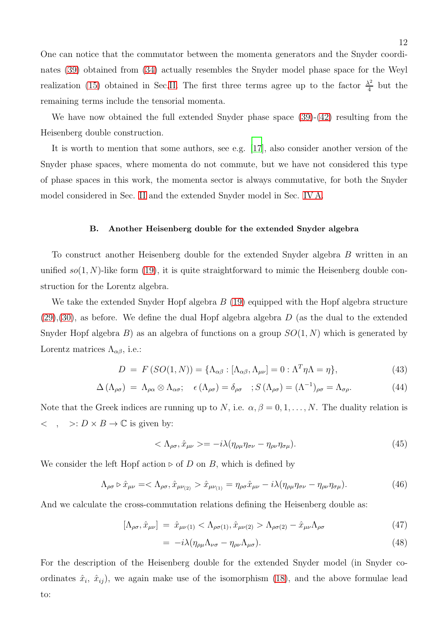One can notice that the commutator between the momenta generators and the Snyder coordinates [\(39\)](#page-10-1) obtained from [\(34\)](#page-10-2) actually resembles the Snyder model phase space for the Weyl realization [\(15\)](#page-5-1) obtained in Sec[.II.](#page-2-3) The first three terms agree up to the factor  $\frac{\lambda^2}{4}$  $rac{\lambda^2}{4}$  but the remaining terms include the tensorial momenta.

We have now obtained the full extended Snyder phase space  $(39)-(42)$  $(39)-(42)$  resulting from the Heisenberg double construction.

It is worth to mention that some authors, see e.g. [\[17\]](#page-17-3), also consider another version of the Snyder phase spaces, where momenta do not commute, but we have not considered this type of phase spaces in this work, the momenta sector is always commutative, for both the Snyder model considered in Sec. [II](#page-2-3) and the extended Snyder model in Sec. [IV A.](#page-9-1)

## <span id="page-11-0"></span>B. Another Heisenberg double for the extended Snyder algebra

To construct another Heisenberg double for the extended Snyder algebra B written in an unified  $so(1, N)$ -like form [\(19\)](#page-7-0), it is quite straightforward to mimic the Heisenberg double construction for the Lorentz algebra.

We take the extended Snyder Hopf algebra  $B(19)$  $B(19)$  equipped with the Hopf algebra structure  $(29),(30)$  $(29),(30)$  $(29),(30)$ , as before. We define the dual Hopf algebra algebra D (as the dual to the extended Snyder Hopf algebra B) as an algebra of functions on a group  $SO(1, N)$  which is generated by Lorentz matrices  $\Lambda_{\alpha\beta}$ , i.e.:

<span id="page-11-2"></span>
$$
D = F(SO(1, N)) = {\Lambda_{\alpha\beta} : [\Lambda_{\alpha\beta}, \Lambda_{\mu\nu}] = 0 : \Lambda^T \eta \Lambda = \eta},
$$
\n(43)

$$
\Delta\left(\Lambda_{\rho\sigma}\right) \ = \ \Lambda_{\rho\alpha} \otimes \Lambda_{\alpha\sigma}; \quad \epsilon\left(\Lambda_{\rho\sigma}\right) = \delta_{\rho\sigma} \quad ; \ S\left(\Lambda_{\rho\sigma}\right) = \left(\Lambda^{-1}\right)_{\rho\sigma} = \Lambda_{\sigma\rho}.
$$

Note that the Greek indices are running up to N, i.e.  $\alpha, \beta = 0, 1, \ldots, N$ . The duality relation is  $\langle , \rangle : D \times B \to \mathbb{C}$  is given by:

$$
\langle \Lambda_{\rho\sigma}, \hat{x}_{\mu\nu} \rangle = -i\lambda (\eta_{\rho\mu}\eta_{\sigma\nu} - \eta_{\rho\nu}\eta_{\sigma\mu}). \tag{45}
$$

We consider the left Hopf action ⊳ of D on B, which is defined by

$$
\Lambda_{\rho\sigma} \triangleright \hat{x}_{\mu\nu} = \langle \Lambda_{\rho\sigma}, \hat{x}_{\mu\nu_{(2)}} \rangle \hat{x}_{\mu\nu_{(1)}} = \eta_{\rho\sigma} \hat{x}_{\mu\nu} - i\lambda (\eta_{\rho\mu} \eta_{\sigma\nu} - \eta_{\rho\nu} \eta_{\sigma\mu}). \tag{46}
$$

And we calculate the cross-commutation relations defining the Heisenberg double as:

<span id="page-11-1"></span>
$$
[\Lambda_{\rho\sigma}, \hat{x}_{\mu\nu}] = \hat{x}_{\mu\nu(1)} < \Lambda_{\rho\sigma(1)}, \hat{x}_{\mu\nu(2)} > \Lambda_{\rho\sigma(2)} - \hat{x}_{\mu\nu}\Lambda_{\rho\sigma} \tag{47}
$$

$$
= -i\lambda(\eta_{\rho\mu}\Lambda_{\nu\sigma} - \eta_{\rho\nu}\Lambda_{\mu\sigma}). \tag{48}
$$

For the description of the Heisenberg double for the extended Snyder model (in Snyder coordinates  $\hat{x}_i$ ,  $\hat{x}_{ij}$ , we again make use of the isomorphism [\(18\)](#page-7-1), and the above formulae lead to: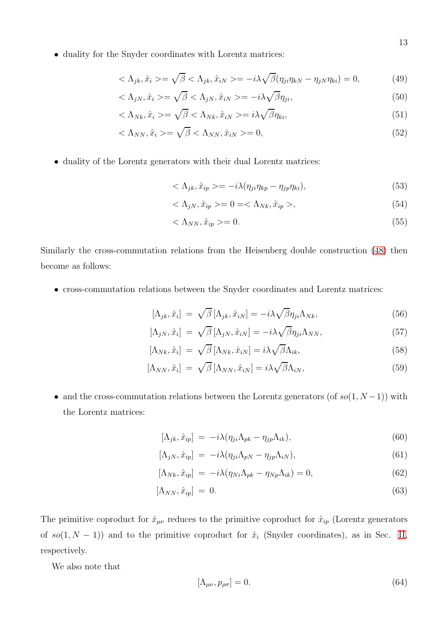• duality for the Snyder coordinates with Lorentz matrices:

$$
\langle \Lambda_{jk}, \hat{x}_i \rangle = \sqrt{\beta} \langle \Lambda_{jk}, \hat{x}_{iN} \rangle = -i\lambda \sqrt{\beta} (\eta_{ji}\eta_{kN} - \eta_{jN}\eta_{ki}) = 0, \tag{49}
$$

$$
\langle \Lambda_{jN}, \hat{x}_i \rangle = \sqrt{\beta} \langle \Lambda_{jN}, \hat{x}_{iN} \rangle = -i\lambda \sqrt{\beta} \eta_{ji}, \tag{50}
$$

$$
\langle \Lambda_{Nk}, \hat{x}_i \rangle = \sqrt{\beta} \langle \Lambda_{Nk}, \hat{x}_{iN} \rangle = i\lambda \sqrt{\beta} \eta_{ki}, \tag{51}
$$

$$
\langle \Lambda_{NN}, \hat{x}_i \rangle = \sqrt{\beta} \langle \Lambda_{NN}, \hat{x}_{iN} \rangle = 0, \tag{52}
$$

• duality of the Lorentz generators with their dual Lorentz matrices:

$$
\langle \Lambda_{jk}, \hat{x}_{ip} \rangle = -i\lambda (\eta_{ji}\eta_{kp} - \eta_{jp}\eta_{ki}), \tag{53}
$$

$$
\langle \Lambda_{jN}, \hat{x}_{ip} \rangle = 0 = \langle \Lambda_{Nk}, \hat{x}_{ip} \rangle, \tag{54}
$$

$$
\langle \Lambda_{NN}, \hat{x}_{ip} \rangle = 0. \tag{55}
$$

Similarly the cross-commutation relations from the Heisenberg double construction [\(48\)](#page-11-1) then become as follows:

• cross-commutation relations between the Snyder coordinates and Lorentz matrices:

$$
[\Lambda_{jk}, \hat{x}_i] = \sqrt{\beta} [\Lambda_{jk}, \hat{x}_{iN}] = -i\lambda \sqrt{\beta} \eta_{ji} \Lambda_{Nk}, \qquad (56)
$$

$$
[\Lambda_{jN}, \hat{x}_i] = \sqrt{\beta} [\Lambda_{jN}, \hat{x}_{iN}] = -i\lambda \sqrt{\beta} \eta_{ji} \Lambda_{NN}, \qquad (57)
$$

$$
[\Lambda_{Nk}, \hat{x}_i] = \sqrt{\beta} [\Lambda_{Nk}, \hat{x}_{iN}] = i\lambda \sqrt{\beta} \Lambda_{ik}, \qquad (58)
$$

$$
[\Lambda_{NN}, \hat{x}_i] = \sqrt{\beta} [\Lambda_{NN}, \hat{x}_{iN}] = i\lambda \sqrt{\beta} \Lambda_{iN}, \qquad (59)
$$

• and the cross-commutation relations between the Lorentz generators (of  $so(1, N-1)$ ) with the Lorentz matrices:

$$
[\Lambda_{jk}, \hat{x}_{ip}] = -i\lambda(\eta_{ji}\Lambda_{pk} - \eta_{jp}\Lambda_{ik}), \qquad (60)
$$

$$
[\Lambda_{jN}, \hat{x}_{ip}] = -i\lambda(\eta_{ji}\Lambda_{pN} - \eta_{jp}\Lambda_{iN}), \qquad (61)
$$

$$
[\Lambda_{Nk}, \hat{x}_{ip}] = -i\lambda(\eta_{Ni}\Lambda_{pk} - \eta_{Np}\Lambda_{ik}) = 0, \qquad (62)
$$

$$
[\Lambda_{NN}, \hat{x}_{ip}] = 0. \tag{63}
$$

The primitive coproduct for  $\hat{x}_{\mu\nu}$  reduces to the primitive coproduct for  $\hat{x}_{ip}$  (Lorentz generators of  $so(1, N - 1)$  and to the primitive coproduct for  $\hat{x}_i$  (Snyder coordinates), as in Sec. [II,](#page-2-3) respectively.

We also note that

$$
[\Lambda_{\mu\nu}, p_{\rho\sigma}] = 0. \tag{64}
$$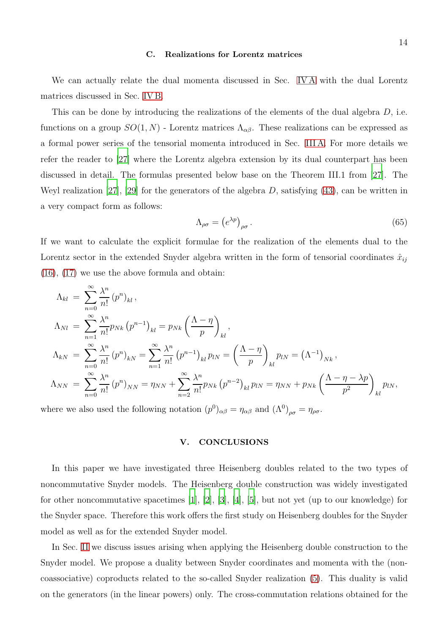#### <span id="page-13-0"></span>C. Realizations for Lorentz matrices

We can actually relate the dual momenta discussed in Sec. [IV A](#page-9-1) with the dual Lorentz matrices discussed in Sec. [IV B.](#page-11-0)

This can be done by introducing the realizations of the elements of the dual algebra  $D$ , i.e. functions on a group  $SO(1, N)$  - Lorentz matrices  $\Lambda_{\alpha\beta}$ . These realizations can be expressed as a formal power series of the tensorial momenta introduced in Sec. [III A.](#page-7-2) For more details we refer the reader to [\[27](#page-17-12)] where the Lorentz algebra extension by its dual counterpart has been discussed in detail. The formulas presented below base on the Theorem III.1 from [\[27\]](#page-17-12). The Weyl realization [\[27\]](#page-17-12), [\[29\]](#page-18-0) for the generators of the algebra  $D$ , satisfying [\(43\)](#page-11-2), can be written in a very compact form as follows:

$$
\Lambda_{\rho\sigma} = \left( e^{\lambda p} \right)_{\rho\sigma} . \tag{65}
$$

If we want to calculate the explicit formulae for the realization of the elements dual to the Lorentz sector in the extended Snyder algebra written in the form of tensorial coordinates  $\hat{x}_{ij}$ [\(16\)](#page-6-0), [\(17\)](#page-6-0) we use the above formula and obtain:

$$
\Lambda_{kl} = \sum_{n=0}^{\infty} \frac{\lambda^n}{n!} (p^n)_{kl},
$$
\n
$$
\Lambda_{Nl} = \sum_{n=1}^{\infty} \frac{\lambda^n}{n!} p_{Nk} (p^{n-1})_{kl} = p_{Nk} \left(\frac{\Lambda - \eta}{p}\right)_{kl},
$$
\n
$$
\Lambda_{kN} = \sum_{n=0}^{\infty} \frac{\lambda^n}{n!} (p^n)_{kN} = \sum_{n=1}^{\infty} \frac{\lambda^n}{n!} (p^{n-1})_{kl} p_{lN} = \left(\frac{\Lambda - \eta}{p}\right)_{kl} p_{lN} = (\Lambda^{-1})_{Nk},
$$
\n
$$
\Lambda_{NN} = \sum_{n=0}^{\infty} \frac{\lambda^n}{n!} (p^n)_{NN} = \eta_{NN} + \sum_{n=2}^{\infty} \frac{\lambda^n}{n!} p_{Nk} (p^{n-2})_{kl} p_{lN} = \eta_{NN} + p_{Nk} \left(\frac{\Lambda - \eta - \lambda p}{p^2}\right)_{kl} p_{lN},
$$

where we also used the following notation  $(p^0)_{\alpha\beta} = \eta_{\alpha\beta}$  and  $(\Lambda^0)_{\rho\sigma} = \eta_{\rho\sigma}$ .

## V. CONCLUSIONS

In this paper we have investigated three Heisenberg doubles related to the two types of noncommutative Snyder models. The Heisenberg double construction was widely investigated for other noncommutative spacetimes [\[1\]](#page-16-0), [\[2\]](#page-16-1), [\[3](#page-16-2)], [\[4\]](#page-16-3), [\[5](#page-16-4)], but not yet (up to our knowledge) for the Snyder space. Therefore this work offers the first study on Heisenberg doubles for the Snyder model as well as for the extended Snyder model.

In Sec. [II](#page-2-3) we discuss issues arising when applying the Heisenberg double construction to the Snyder model. We propose a duality between Snyder coordinates and momenta with the (noncoassociative) coproducts related to the so-called Snyder realization [\(5\)](#page-3-4). This duality is valid on the generators (in the linear powers) only. The cross-commutation relations obtained for the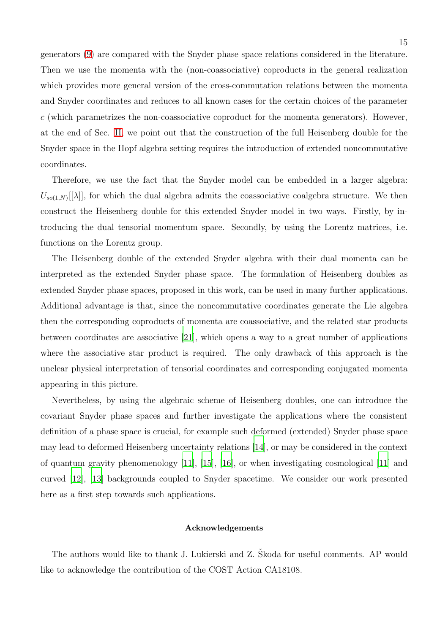generators [\(9\)](#page-3-0) are compared with the Snyder phase space relations considered in the literature. Then we use the momenta with the (non-coassociative) coproducts in the general realization which provides more general version of the cross-commutation relations between the momenta and Snyder coordinates and reduces to all known cases for the certain choices of the parameter  $c$  (which parametrizes the non-coassociative coproduct for the momenta generators). However, at the end of Sec. [II,](#page-2-3) we point out that the construction of the full Heisenberg double for the Snyder space in the Hopf algebra setting requires the introduction of extended noncommutative coordinates.

Therefore, we use the fact that the Snyder model can be embedded in a larger algebra:  $U_{so(1,N)}[[\lambda]]$ , for which the dual algebra admits the coassociative coalgebra structure. We then construct the Heisenberg double for this extended Snyder model in two ways. Firstly, by introducing the dual tensorial momentum space. Secondly, by using the Lorentz matrices, i.e. functions on the Lorentz group.

The Heisenberg double of the extended Snyder algebra with their dual momenta can be interpreted as the extended Snyder phase space. The formulation of Heisenberg doubles as extended Snyder phase spaces, proposed in this work, can be used in many further applications. Additional advantage is that, since the noncommutative coordinates generate the Lie algebra then the corresponding coproducts of momenta are coassociative, and the related star products between coordinates are associative [\[21\]](#page-17-6), which opens a way to a great number of applications where the associative star product is required. The only drawback of this approach is the unclear physical interpretation of tensorial coordinates and corresponding conjugated momenta appearing in this picture.

Nevertheless, by using the algebraic scheme of Heisenberg doubles, one can introduce the covariant Snyder phase spaces and further investigate the applications where the consistent definition of a phase space is crucial, for example such deformed (extended) Snyder phase space may lead to deformed Heisenberg uncertainty relations [\[14\]](#page-16-13), or may be considered in the context of quantum gravity phenomenology [\[11](#page-16-10)], [\[15](#page-17-1)], [\[16\]](#page-17-2), or when investigating cosmological [\[11](#page-16-10)] and curved [\[12\]](#page-16-11), [\[13\]](#page-16-12) backgrounds coupled to Snyder spacetime. We consider our work presented here as a first step towards such applications.

#### Acknowledgements

The authors would like to thank J. Lukierski and Z. Skoda for useful comments. AP would like to acknowledge the contribution of the COST Action CA18108.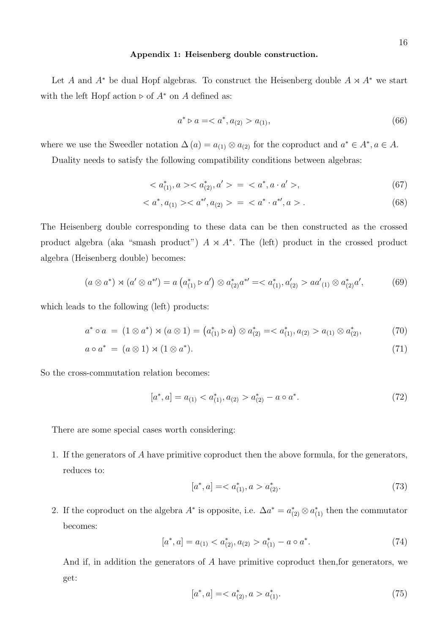## Appendix 1: Heisenberg double construction.

Let A and  $A^*$  be dual Hopf algebras. To construct the Heisenberg double  $A \rtimes A^*$  we start with the left Hopf action ⊳ of  $A^*$  on A defined as:

$$
a^* \triangleright a = \langle a^*, a_{(2)} \rangle a_{(1)}, \tag{66}
$$

where we use the Sweedler notation  $\Delta(a) = a_{(1)} \otimes a_{(2)}$  for the coproduct and  $a^* \in A^*$ ,  $a \in A$ .

Duality needs to satisfy the following compatibility conditions between algebras:

$$
\langle a_{(1)}^*, a \rangle \langle a_{(2)}^*, a' \rangle = \langle a^*, a \cdot a' \rangle, \tag{67}
$$

$$
\langle a^*, a_{(1)} > \langle a^{*'} , a_{(2)} \rangle = \langle a^* \cdot a^{*'} , a \rangle. \tag{68}
$$

The Heisenberg double corresponding to these data can be then constructed as the crossed product algebra (aka "smash product")  $A \times A^*$ . The (left) product in the crossed product algebra (Heisenberg double) becomes:

$$
(a \otimes a^*) \rtimes (a' \otimes a^{*'}) = a \left( a_{(1)}^* \triangleright a' \right) \otimes a_{(2)}^* a^{*'} = \langle a_{(1)}^*, a_{(2)}' > a a_{(1)}' \otimes a_{(2)}^* a', \tag{69}
$$

which leads to the following (left) products:

$$
a^* \circ a = (1 \otimes a^*) \rtimes (a \otimes 1) = (a_{(1)}^* \triangleright a) \otimes a_{(2)}^* = \langle a_{(1)}^*, a_{(2)} > a_{(1)} \otimes a_{(2)}^*, \tag{70}
$$

$$
a \circ a^* = (a \otimes 1) \rtimes (1 \otimes a^*). \tag{71}
$$

So the cross-commutation relation becomes:

$$
[a^*, a] = a_{(1)} < a_{(1)}^*, a_{(2)} > a_{(2)}^* - a \circ a^*.
$$
\n<sup>(72)</sup>

There are some special cases worth considering:

1. If the generators of A have primitive coproduct then the above formula, for the generators, reduces to:

$$
[a^*, a] = \langle a^*_{(1)}, a \rangle a^*_{(2)}.
$$
\n<sup>(73)</sup>

2. If the coproduct on the algebra  $A^*$  is opposite, i.e.  $\Delta a^* = a^*_{(2)} \otimes a^*_{(1)}$  then the commutator becomes:

$$
[a^*, a] = a_{(1)} < a_{(2)}^*, a_{(2)} > a_{(1)}^* - a \circ a^*.
$$
\n(74)

And if, in addition the generators of A have primitive coproduct then,for generators, we get:

$$
[a^*, a] = \langle a^*_{(2)}, a \rangle a^*_{(1)}.
$$
\n<sup>(75)</sup>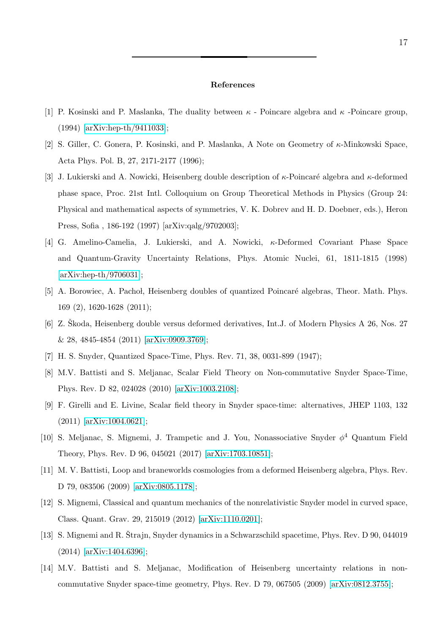#### References

- <span id="page-16-0"></span>[1] P. Kosinski and P. Maslanka, The duality between  $\kappa$  - Poincare algebra and  $\kappa$  -Poincare group, (1994) [\[arXiv:hep-th/9411033\]](http://arxiv.org/abs/hep-th/9411033);
- <span id="page-16-1"></span>[2] S. Giller, C. Gonera, P. Kosinski, and P. Maslanka, A Note on Geometry of κ-Minkowski Space, Acta Phys. Pol. B, 27, 2171-2177 (1996);
- <span id="page-16-2"></span>[3] J. Lukierski and A. Nowicki, Heisenberg double description of  $\kappa$ -Poincaré algebra and  $\kappa$ -deformed phase space, Proc. 21st Intl. Colloquium on Group Theoretical Methods in Physics (Group 24: Physical and mathematical aspects of symmetries, V. K. Dobrev and H. D. Doebner, eds.), Heron Press, Sofia , 186-192 (1997) [arXiv:qalg/9702003];
- <span id="page-16-3"></span>[4] G. Amelino-Camelia, J. Lukierski, and A. Nowicki, κ-Deformed Covariant Phase Space and Quantum-Gravity Uncertainty Relations, Phys. Atomic Nuclei, 61, 1811-1815 (1998) [\[arXiv:hep-th/9706031\]](http://arxiv.org/abs/hep-th/9706031);
- <span id="page-16-4"></span>[5] A. Borowiec, A. Pachol, Heisenberg doubles of quantized Poincaré algebras, Theor. Math. Phys. 169 (2), 1620-1628 (2011);
- <span id="page-16-5"></span>[6] Z. Skoda, Heisenberg double versus deformed derivatives, Int.J. of Modern Physics A 26, Nos. 27 & 28, 4845-4854 (2011) [\[arXiv:0909.3769\]](http://arxiv.org/abs/0909.3769);
- <span id="page-16-7"></span><span id="page-16-6"></span>[7] H. S. Snyder, Quantized Space-Time, Phys. Rev. 71, 38, 0031-899 (1947);
- [8] M.V. Battisti and S. Meljanac, Scalar Field Theory on Non-commutative Snyder Space-Time, Phys. Rev. D 82, 024028 (2010) [\[arXiv:1003.2108\]](http://arxiv.org/abs/1003.2108);
- <span id="page-16-8"></span>[9] F. Girelli and E. Livine, Scalar field theory in Snyder space-time: alternatives, JHEP 1103, 132 (2011) [\[arXiv:1004.0621\]](http://arxiv.org/abs/1004.0621);
- <span id="page-16-9"></span>[10] S. Meljanac, S. Mignemi, J. Trampetic and J. You, Nonassociative Snyder  $\phi^4$  Quantum Field Theory, Phys. Rev. D 96, 045021 (2017) [\[arXiv:1703.10851\]](http://arxiv.org/abs/1703.10851);
- <span id="page-16-10"></span>[11] M. V. Battisti, Loop and braneworlds cosmologies from a deformed Heisenberg algebra, Phys. Rev. D 79, 083506 (2009) [\[arXiv:0805.1178\]](http://arxiv.org/abs/0805.1178);
- <span id="page-16-11"></span>[12] S. Mignemi, Classical and quantum mechanics of the nonrelativistic Snyder model in curved space, Class. Quant. Grav. 29, 215019 (2012) [\[arXiv:1110.0201\]](http://arxiv.org/abs/1110.0201);
- <span id="page-16-12"></span>[13] S. Mignemi and R. Strajn, Snyder dynamics in a Schwarzschild spacetime, Phys. Rev. D 90, 044019 (2014) [\[arXiv:1404.6396\]](http://arxiv.org/abs/1404.6396);
- <span id="page-16-13"></span>[14] M.V. Battisti and S. Meljanac, Modification of Heisenberg uncertainty relations in noncommutative Snyder space-time geometry, Phys. Rev. D 79, 067505 (2009) [\[arXiv:0812.3755\]](http://arxiv.org/abs/0812.3755);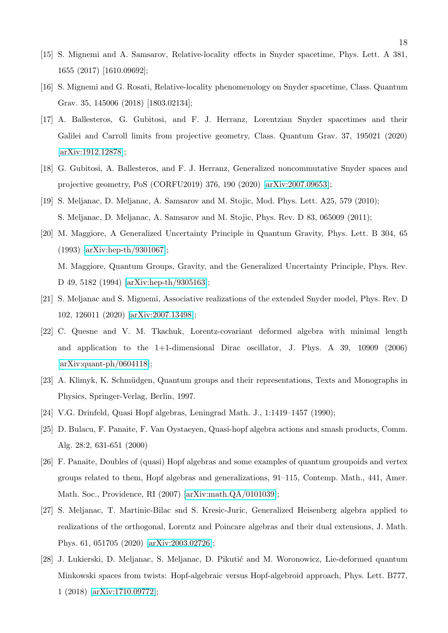- <span id="page-17-1"></span>[15] S. Mignemi and A. Samsarov, Relative-locality effects in Snyder spacetime, Phys. Lett. A 381, 1655 (2017) [1610.09692];
- <span id="page-17-2"></span>[16] S. Mignemi and G. Rosati, Relative-locality phenomenology on Snyder spacetime, Class. Quantum Grav. 35, 145006 (2018) [1803.02134];
- <span id="page-17-3"></span>[17] A. Ballesteros, G. Gubitosi, and F. J. Herranz, Lorentzian Snyder spacetimes and their Galilei and Carroll limits from projective geometry, Class. Quantum Grav. 37, 195021 (2020) [\[arXiv:1912.12878\]](http://arxiv.org/abs/1912.12878);
- <span id="page-17-4"></span>[18] G. Gubitosi, A. Ballesteros, and F. J. Herranz, Generalized noncommutative Snyder spaces and projective geometry, PoS (CORFU2019) 376, 190 (2020) [\[arXiv:2007.09653\]](http://arxiv.org/abs/2007.09653);
- <span id="page-17-5"></span>[19] S. Meljanac, D. Meljanac, A. Samsarov and M. Stojic, Mod. Phys. Lett. A25, 579 (2010); S. Meljanac, D. Meljanac, A. Samsarov and M. Stojic, Phys. Rev. D 83, 065009 (2011);
- <span id="page-17-8"></span>[20] M. Maggiore, A Generalized Uncertainty Principle in Quantum Gravity, Phys. Lett. B 304, 65 (1993) [\[arXiv:hep-th/9301067\]](http://arxiv.org/abs/hep-th/9301067); M. Maggiore, Quantum Groups, Gravity, and the Generalized Uncertainty Principle, Phys. Rev. D 49, 5182 (1994) [\[arXiv:hep-th/9305163\]](http://arxiv.org/abs/hep-th/9305163);
- <span id="page-17-6"></span>[21] S. Meljanac and S. Mignemi, Associative realizations of the extended Snyder model, Phys. Rev. D 102, 126011 (2020) [\[arXiv:2007.13498\]](http://arxiv.org/abs/2007.13498);
- <span id="page-17-0"></span>[22] C. Quesne and V. M. Tkachuk, Lorentz-covariant deformed algebra with minimal length and application to the 1+1-dimensional Dirac oscillator, J. Phys. A 39, 10909 (2006) [\[arXiv:quant-ph/0604118\]](http://arxiv.org/abs/quant-ph/0604118);
- <span id="page-17-7"></span>[23] A. Klimyk, K. Schmüdgen, Quantum groups and their representations, Texts and Monographs in Physics, Springer-Verlag, Berlin, 1997.
- <span id="page-17-9"></span>[24] V.G. Drinfeld, Quasi Hopf algebras, Leningrad Math. J., 1:1419–1457 (1990);
- <span id="page-17-10"></span>[25] D. Bulacu, F. Panaite, F. Van Oystaeyen, Quasi-hopf algebra actions and smash products, Comm. Alg. 28:2, 631-651 (2000)
- <span id="page-17-11"></span>[26] F. Panaite, Doubles of (quasi) Hopf algebras and some examples of quantum groupoids and vertex groups related to them, Hopf algebras and generalizations, 91–115, Contemp. Math., 441, Amer. Math. Soc., Providence, RI (2007) [\[arXiv:math.QA/0101039\]](http://arxiv.org/abs/math/0101039);
- <span id="page-17-12"></span>[27] S. Meljanac, T. Martinic-Bilac snd S. Kresic-Juric, Generalized Heisenberg algebra applied to realizations of the orthogonal, Lorentz and Poincare algebras and their dual extensions, J. Math. Phys. 61, 051705 (2020) [\[arXiv:2003.02726\]](http://arxiv.org/abs/2003.02726);
- <span id="page-17-13"></span>[28] J. Lukierski, D. Meljanac, S. Meljanac, D. Pikutić and M. Woronowicz, Lie-deformed quantum Minkowski spaces from twists: Hopf-algebraic versus Hopf-algebroid approach, Phys. Lett. B777, 1 (2018) [\[arXiv:1710.09772\]](http://arxiv.org/abs/1710.09772);